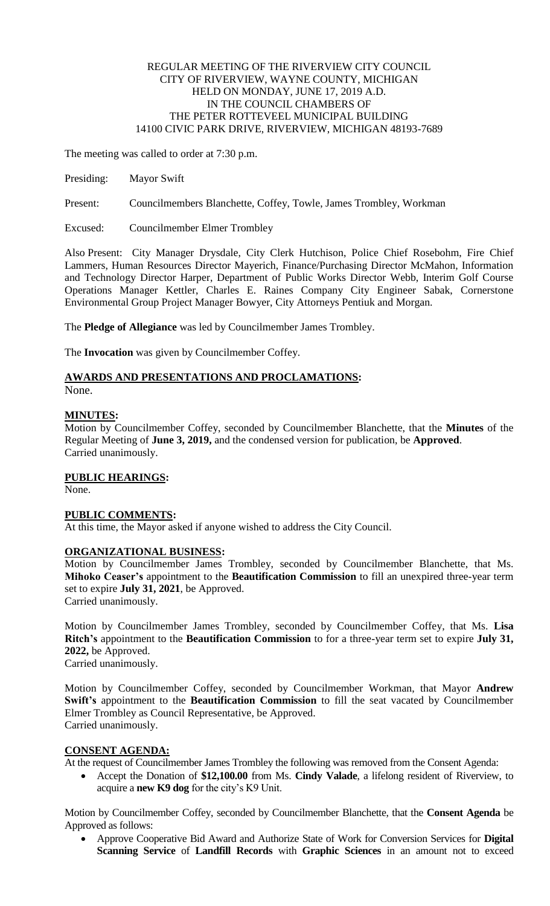### REGULAR MEETING OF THE RIVERVIEW CITY COUNCIL CITY OF RIVERVIEW, WAYNE COUNTY, MICHIGAN HELD ON MONDAY, JUNE 17, 2019 A.D. IN THE COUNCIL CHAMBERS OF THE PETER ROTTEVEEL MUNICIPAL BUILDING 14100 CIVIC PARK DRIVE, RIVERVIEW, MICHIGAN 48193-7689

The meeting was called to order at 7:30 p.m.

Presiding: Mayor Swift

Present: Councilmembers Blanchette, Coffey, Towle, James Trombley, Workman

Excused: Councilmember Elmer Trombley

Also Present: City Manager Drysdale, City Clerk Hutchison, Police Chief Rosebohm, Fire Chief Lammers, Human Resources Director Mayerich, Finance/Purchasing Director McMahon, Information and Technology Director Harper, Department of Public Works Director Webb, Interim Golf Course Operations Manager Kettler, Charles E. Raines Company City Engineer Sabak, Cornerstone Environmental Group Project Manager Bowyer, City Attorneys Pentiuk and Morgan.

The **Pledge of Allegiance** was led by Councilmember James Trombley.

The **Invocation** was given by Councilmember Coffey.

# **AWARDS AND PRESENTATIONS AND PROCLAMATIONS:**

None.

### **MINUTES:**

Motion by Councilmember Coffey, seconded by Councilmember Blanchette, that the **Minutes** of the Regular Meeting of **June 3, 2019,** and the condensed version for publication, be **Approved**. Carried unanimously.

### **PUBLIC HEARINGS:**

None.

### **PUBLIC COMMENTS:**

At this time, the Mayor asked if anyone wished to address the City Council.

### **ORGANIZATIONAL BUSINESS:**

Motion by Councilmember James Trombley, seconded by Councilmember Blanchette, that Ms. **Mihoko Ceaser's** appointment to the **Beautification Commission** to fill an unexpired three-year term set to expire **July 31, 2021**, be Approved.

Carried unanimously.

Motion by Councilmember James Trombley, seconded by Councilmember Coffey, that Ms. **Lisa Ritch's** appointment to the **Beautification Commission** to for a three-year term set to expire **July 31, 2022,** be Approved. Carried unanimously.

Motion by Councilmember Coffey, seconded by Councilmember Workman, that Mayor **Andrew Swift's** appointment to the **Beautification Commission** to fill the seat vacated by Councilmember Elmer Trombley as Council Representative, be Approved. Carried unanimously.

### **CONSENT AGENDA:**

At the request of Councilmember James Trombley the following was removed from the Consent Agenda:

 Accept the Donation of **\$12,100.00** from Ms. **Cindy Valade**, a lifelong resident of Riverview, to acquire a **new K9 dog** for the city's K9 Unit.

Motion by Councilmember Coffey, seconded by Councilmember Blanchette, that the **Consent Agenda** be Approved as follows:

 Approve Cooperative Bid Award and Authorize State of Work for Conversion Services for **Digital Scanning Service** of **Landfill Records** with **Graphic Sciences** in an amount not to exceed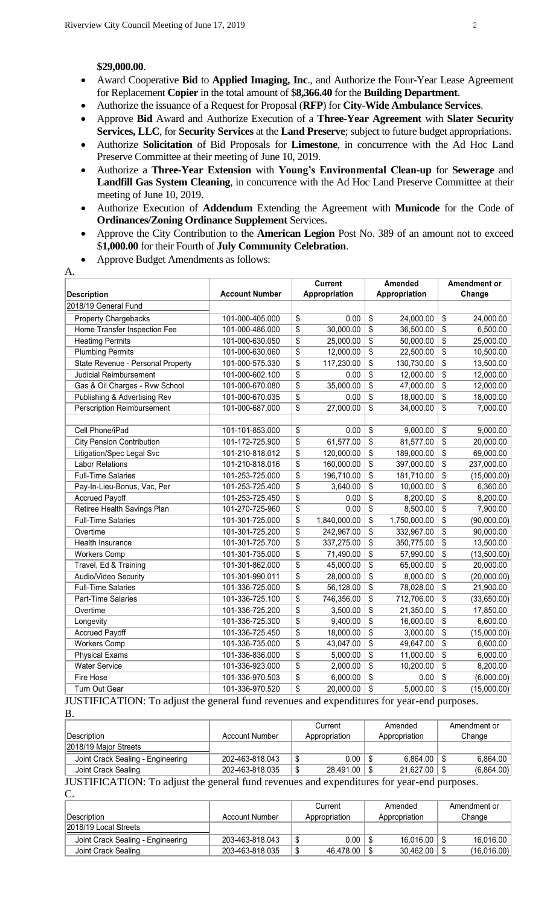#### **\$29,000.00**.

A.

- Award Cooperative **Bid** to **Applied Imaging, Inc**., and Authorize the Four-Year Lease Agreement for Replacement **Copier** in the total amount of \$**8,366.40** for the **Building Department**.
- Authorize the issuance of a Request for Proposal (**RFP**) for **City-Wide Ambulance Services**.
- Approve **Bid** Award and Authorize Execution of a **Three-Year Agreement** with **Slater Security Services, LLC**, for **Security Services** at the **Land Preserve**; subject to future budget appropriations.
- Authorize **Solicitation** of Bid Proposals for **Limestone**, in concurrence with the Ad Hoc Land Preserve Committee at their meeting of June 10, 2019.
- Authorize a **Three-Year Extension** with **Young's Environmental Clean-up** for **Sewerage** and **Landfill Gas System Cleaning**, in concurrence with the Ad Hoc Land Preserve Committee at their meeting of June 10, 2019.
- Authorize Execution of **Addendum** Extending the Agreement with **Municode** for the Code of **Ordinances/Zoning Ordinance Supplement** Services.
- Approve the City Contribution to the **American Legion** Post No. 389 of an amount not to exceed \$**1,000.00** for their Fourth of **July Community Celebration**.
- Approve Budget Amendments as follows:

|                                   |                       | <b>Current</b>  |              | Amended       |              | Amendment or |             |
|-----------------------------------|-----------------------|-----------------|--------------|---------------|--------------|--------------|-------------|
| <b>Description</b>                | <b>Account Number</b> | Appropriation   |              | Appropriation |              | Change       |             |
| 2018/19 General Fund              |                       |                 |              |               |              |              |             |
| <b>Property Chargebacks</b>       | 101-000-405.000       | \$              | 0.00         | \$            | 24,000.00    | \$           | 24,000.00   |
| Home Transfer Inspection Fee      | 101-000-486.000       | \$              | 30,000.00    | \$            | 36,500.00    | \$           | 6,500.00    |
| <b>Heatimg Permits</b>            | 101-000-630.050       | \$              | 25,000.00    | \$            | 50,000.00    | \$           | 25,000.00   |
| <b>Plumbing Permits</b>           | 101-000-630.060       | \$              | 12,000.00    | \$            | 22,500.00    | \$           | 10,500.00   |
| State Revenue - Personal Property | 101-000-575.330       | $\overline{\$}$ | 117,230.00   | \$            | 130,730.00   | \$           | 13,500.00   |
| Judicial Reimbursement            | 101-000-602.100       | \$              | 0.00         | \$            | 12,000.00    | \$           | 12,000.00   |
| Gas & Oil Charges - Rvw School    | 101-000-670.080       | \$              | 35,000.00    | \$            | 47,000.00    | \$           | 12,000.00   |
| Publishing & Advertising Rev      | 101-000-670.035       | \$              | 0.00         | \$            | 18,000.00    | \$           | 18,000.00   |
| Perscription Reimbursement        | 101-000-687.000       | \$              | 27,000.00    | \$            | 34,000.00    | \$           | 7,000.00    |
|                                   |                       |                 |              |               |              |              |             |
| Cell Phone/iPad                   | 101-101-853.000       | \$              | 0.00         | \$            | 9,000.00     | \$           | 9,000.00    |
| <b>City Pension Contribution</b>  | 101-172-725.900       | \$              | 61,577.00    | \$            | 81,577.00    | \$           | 20,000.00   |
| Litigation/Spec Legal Svc         | 101-210-818.012       | \$              | 120,000.00   | \$            | 189,000.00   | \$           | 69,000.00   |
| <b>Labor Relations</b>            | 101-210-818.016       | \$              | 160,000.00   | \$            | 397,000.00   | \$           | 237,000.00  |
| <b>Full-Time Salaries</b>         | 101-253-725.000       | \$              | 196,710.00   | \$            | 181,710.00   | \$           | (15,000.00) |
| Pay-In-Lieu-Bonus, Vac, Per       | 101-253-725.400       | \$              | 3,640.00     | \$            | 10,000.00    | \$           | 6,360.00    |
| <b>Accrued Payoff</b>             | 101-253-725.450       | \$              | 0.00         | \$            | 8,200.00     | \$           | 8,200.00    |
| Retiree Health Savings Plan       | 101-270-725-960       | $\overline{\$}$ | 0.00         | \$            | 8,500.00     | \$           | 7,900.00    |
| <b>Full-Time Salaries</b>         | 101-301-725.000       | \$              | 1,840,000.00 | \$            | 1,750,000.00 | \$           | (90,000.00) |
| Overtime                          | 101-301-725.200       | \$              | 242,967.00   | \$            | 332,967.00   | \$           | 90,000.00   |
| Health Insurance                  | 101-301-725.700       | \$              | 337,275.00   | \$            | 350,775.00   | \$           | 13,500.00   |
| <b>Workers Comp</b>               | 101-301-735.000       | \$              | 71,490.00    | \$            | 57,990.00    | \$           | (13,500.00) |
| Travel, Ed & Training             | 101-301-862.000       | $\overline{\$}$ | 45,000.00    | \$            | 65,000.00    | \$           | 20,000.00   |
| Audio/Video Security              | 101-301-990.011       | $\overline{\$}$ | 28,000.00    | \$            | 8,000.00     | \$           | (20,000.00) |
| <b>Full-Time Salaries</b>         | 101-336-725.000       | \$              | 56,128.00    | \$            | 78,028.00    | \$           | 21,900.00   |
| Part-Time Salaries                | 101-336-725.100       | \$              | 746,356.00   | \$            | 712,706.00   | \$           | (33,650.00) |
| Overtime                          | 101-336-725.200       | \$              | 3,500.00     | \$            | 21,350.00    | \$           | 17,850.00   |
| Longevity                         | 101-336-725.300       | \$              | 9,400.00     | \$            | 16,000.00    | \$           | 6,600.00    |
| <b>Accrued Payoff</b>             | 101-336-725.450       | $\overline{\$}$ | 18,000.00    | \$            | 3,000.00     | \$           | (15,000.00) |
| <b>Workers Comp</b>               | 101-336-735.000       | \$              | 43,047.00    | \$            | 49,647.00    | \$           | 6,600.00    |
| <b>Physical Exams</b>             | 101-336-836.000       | \$              | 5,000.00     | \$            | 11,000.00    | \$           | 6,000.00    |
| <b>Water Service</b>              | 101-336-923.000       | \$              | 2,000.00     | \$            | 10,200.00    | \$           | 8,200.00    |
| Fire Hose                         | 101-336-970.503       | \$              | 6,000.00     | \$            | 0.00         | \$           | (6,000.00)  |
| Turn Out Gear                     | 101-336-970.520       | $\overline{\$}$ | 20,000.00    | \$            | 5,000.00     | \$           | (15,000.00) |

JUSTIFICATION: To adjust the general fund revenues and expenditures for year-end purposes. B.

|                                   |                 | Current       | Amended       |     | Amendment or |
|-----------------------------------|-----------------|---------------|---------------|-----|--------------|
| <b>IDescription</b>               | Account Number  | Appropriation | Appropriation |     | Change       |
| 2018/19 Maior Streets             |                 |               |               |     |              |
| Joint Crack Sealing - Engineering | 202-463-818.043 | 0.00          | 6.864.00      | l S | 6.864.00     |
| Joint Crack Sealing               | 202-463-818.035 | 28.491.00     | 21.627.00     | l S | (6,864.00)   |
| $\sim$                            | .               |               |               |     |              |

JUSTIFICATION: To adjust the general fund revenues and expenditures for year-end purposes. C.

|                                   |                 | Current       | Amended |               | Amendment or |             |
|-----------------------------------|-----------------|---------------|---------|---------------|--------------|-------------|
| <b>IDescription</b>               | Account Number  | Appropriation |         | Appropriation |              | Change      |
| 2018/19 Local Streets             |                 |               |         |               |              |             |
| Joint Crack Sealing - Engineering | 203-463-818.043 | 0.00          |         | 16.016.00     |              | 16.016.00   |
| Joint Crack Sealing               | 203-463-818.035 | 46.478.00     |         | 30.462.00     |              | (16,016.00) |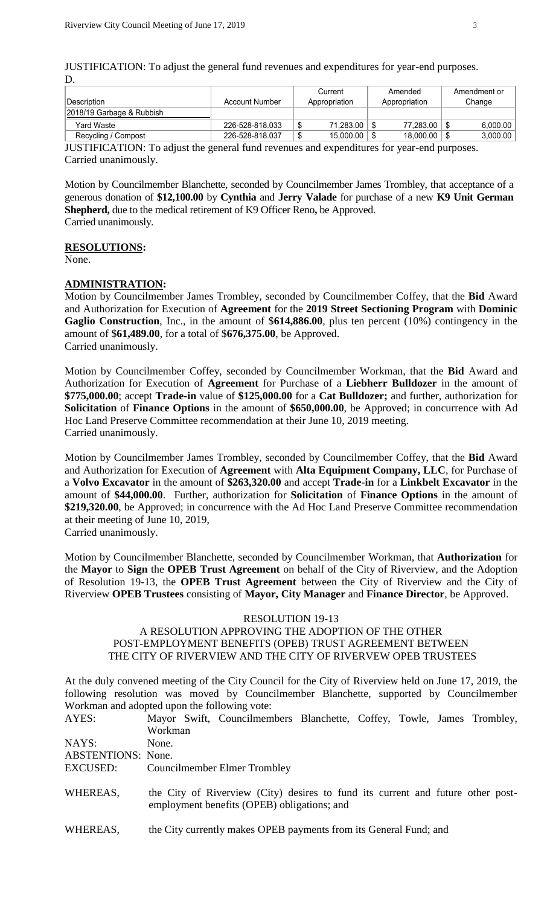JUSTIFICATION: To adjust the general fund revenues and expenditures for year-end purposes. D.

|                                                                                            |                       | Current |               | Amended |               | Amendment or |          |  |
|--------------------------------------------------------------------------------------------|-----------------------|---------|---------------|---------|---------------|--------------|----------|--|
| <b>Description</b>                                                                         | <b>Account Number</b> |         | Appropriation |         | Appropriation | Change       |          |  |
| 2018/19 Garbage & Rubbish                                                                  |                       |         |               |         |               |              |          |  |
| Yard Waste                                                                                 | 226-528-818.033       | J       | 71.283.00     |         | 77.283.00     |              | 6,000.00 |  |
| Recycling / Compost                                                                        | 226-528-818.037       |         | 15.000.00     |         | 18.000.00     |              | 3,000.00 |  |
| HETIELO A TION, To ediver the conoral fund revenues and expenditures for year and purposes |                       |         |               |         |               |              |          |  |

JUSTIFICATION: To adjust the general fund revenues and expenditures for year-end purposes. Carried unanimously.

Motion by Councilmember Blanchette, seconded by Councilmember James Trombley, that acceptance of a generous donation of **\$12,100.00** by **Cynthia** and **Jerry Valade** for purchase of a new **K9 Unit German Shepherd,** due to the medical retirement of K9 Officer Reno**,** be Approved. Carried unanimously.

#### **RESOLUTIONS:**

None.

#### **ADMINISTRATION:**

Motion by Councilmember James Trombley, seconded by Councilmember Coffey, that the **Bid** Award and Authorization for Execution of **Agreement** for the **2019 Street Sectioning Program** with **Dominic Gaglio Construction**, Inc., in the amount of \$**614,886.00**, plus ten percent (10%) contingency in the amount of \$**61,489.00**, for a total of \$**676,375.00**, be Approved. Carried unanimously.

Motion by Councilmember Coffey, seconded by Councilmember Workman, that the **Bid** Award and Authorization for Execution of **Agreement** for Purchase of a **Liebherr Bulldozer** in the amount of **\$775,000.00**; accept **Trade-in** value of **\$125,000.00** for a **Cat Bulldozer;** and further, authorization for **Solicitation** of **Finance Options** in the amount of **\$650,000.00**, be Approved; in concurrence with Ad Hoc Land Preserve Committee recommendation at their June 10, 2019 meeting. Carried unanimously.

Motion by Councilmember James Trombley, seconded by Councilmember Coffey, that the **Bid** Award and Authorization for Execution of **Agreement** with **Alta Equipment Company, LLC**, for Purchase of a **Volvo Excavator** in the amount of **\$263,320.00** and accept **Trade-in** for a **Linkbelt Excavator** in the amount of **\$44,000.00**. Further, authorization for **Solicitation** of **Finance Options** in the amount of **\$219,320.00**, be Approved; in concurrence with the Ad Hoc Land Preserve Committee recommendation at their meeting of June 10, 2019,

Carried unanimously.

Motion by Councilmember Blanchette, seconded by Councilmember Workman, that **Authorization** for the **Mayor** to **Sign** the **OPEB Trust Agreement** on behalf of the City of Riverview, and the Adoption of Resolution 19-13, the **OPEB Trust Agreement** between the City of Riverview and the City of Riverview **OPEB Trustees** consisting of **Mayor, City Manager** and **Finance Director**, be Approved.

#### RESOLUTION 19-13

#### A RESOLUTION APPROVING THE ADOPTION OF THE OTHER POST-EMPLOYMENT BENEFITS (OPEB) TRUST AGREEMENT BETWEEN THE CITY OF RIVERVIEW AND THE CITY OF RIVERVEW OPEB TRUSTEES

At the duly convened meeting of the City Council for the City of Riverview held on June 17, 2019, the following resolution was moved by Councilmember Blanchette, supported by Councilmember Workman and adopted upon the following vote:

| AYES:                     |         | Mayor Swift, Councilmembers Blanchette, Coffey, Towle, James Trombley,          |  |  |  |
|---------------------------|---------|---------------------------------------------------------------------------------|--|--|--|
|                           | Workman |                                                                                 |  |  |  |
| NAYS:                     | None.   |                                                                                 |  |  |  |
| <b>ABSTENTIONS:</b> None. |         |                                                                                 |  |  |  |
| EXCUSED:                  |         | <b>Councilmember Elmer Trombley</b>                                             |  |  |  |
|                           |         |                                                                                 |  |  |  |
| WHEREAS,                  |         | the City of Riverview (City) desires to fund its current and future other post- |  |  |  |
|                           |         | employment benefits (OPEB) obligations; and                                     |  |  |  |
|                           |         |                                                                                 |  |  |  |
| WHEREAS,                  |         | the City currently makes OPEB payments from its General Fund; and               |  |  |  |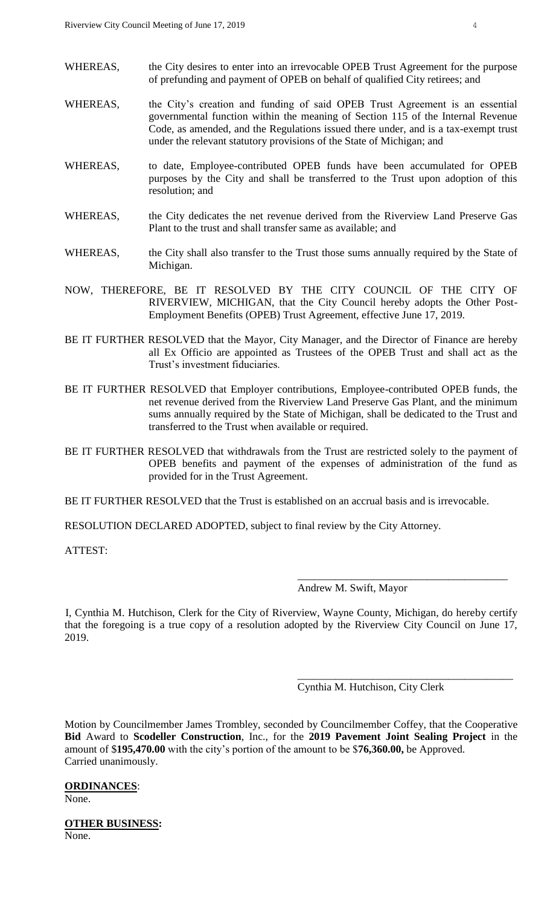- WHEREAS, the City desires to enter into an irrevocable OPEB Trust Agreement for the purpose of prefunding and payment of OPEB on behalf of qualified City retirees; and
- WHEREAS, the City's creation and funding of said OPEB Trust Agreement is an essential governmental function within the meaning of Section 115 of the Internal Revenue Code, as amended, and the Regulations issued there under, and is a tax-exempt trust under the relevant statutory provisions of the State of Michigan; and
- WHEREAS, to date, Employee-contributed OPEB funds have been accumulated for OPEB purposes by the City and shall be transferred to the Trust upon adoption of this resolution; and
- WHEREAS, the City dedicates the net revenue derived from the Riverview Land Preserve Gas Plant to the trust and shall transfer same as available; and
- WHEREAS, the City shall also transfer to the Trust those sums annually required by the State of Michigan.
- NOW, THEREFORE, BE IT RESOLVED BY THE CITY COUNCIL OF THE CITY OF RIVERVIEW, MICHIGAN, that the City Council hereby adopts the Other Post-Employment Benefits (OPEB) Trust Agreement, effective June 17, 2019.
- BE IT FURTHER RESOLVED that the Mayor, City Manager, and the Director of Finance are hereby all Ex Officio are appointed as Trustees of the OPEB Trust and shall act as the Trust's investment fiduciaries.
- BE IT FURTHER RESOLVED that Employer contributions, Employee-contributed OPEB funds, the net revenue derived from the Riverview Land Preserve Gas Plant, and the minimum sums annually required by the State of Michigan, shall be dedicated to the Trust and transferred to the Trust when available or required.
- BE IT FURTHER RESOLVED that withdrawals from the Trust are restricted solely to the payment of OPEB benefits and payment of the expenses of administration of the fund as provided for in the Trust Agreement.

BE IT FURTHER RESOLVED that the Trust is established on an accrual basis and is irrevocable.

RESOLUTION DECLARED ADOPTED, subject to final review by the City Attorney.

ATTEST:

Andrew M. Swift, Mayor

\_\_\_\_\_\_\_\_\_\_\_\_\_\_\_\_\_\_\_\_\_\_\_\_\_\_\_\_\_\_\_\_\_\_\_\_\_\_\_

\_\_\_\_\_\_\_\_\_\_\_\_\_\_\_\_\_\_\_\_\_\_\_\_\_\_\_\_\_\_\_\_\_\_\_\_\_\_\_\_

I, Cynthia M. Hutchison, Clerk for the City of Riverview, Wayne County, Michigan, do hereby certify that the foregoing is a true copy of a resolution adopted by the Riverview City Council on June 17, 2019.

Cynthia M. Hutchison, City Clerk

Motion by Councilmember James Trombley, seconded by Councilmember Coffey, that the Cooperative **Bid** Award to **Scodeller Construction**, Inc., for the **2019 Pavement Joint Sealing Project** in the amount of \$**195,470.00** with the city's portion of the amount to be \$**76,360.00,** be Approved. Carried unanimously.

## **ORDINANCES**:

None.

**OTHER BUSINESS:** None.